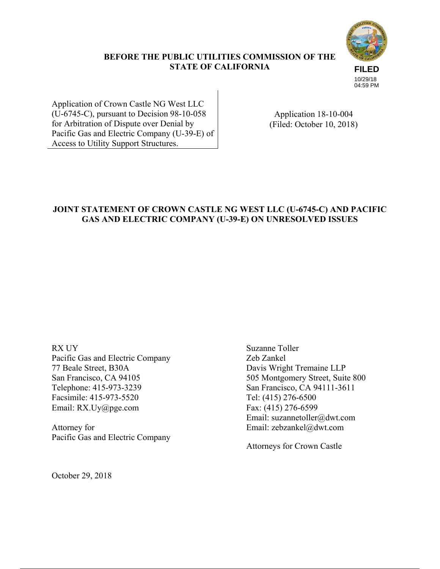

## **BEFORE THE PUBLIC UTILITIES COMMISSION OF THE STATE OF CALIFORNIA**

10/29/18 04:59 PM

Application of Crown Castle NG West LLC (U-6745-C), pursuant to Decision 98-10-058 for Arbitration of Dispute over Denial by Pacific Gas and Electric Company (U-39-E) of Access to Utility Support Structures.

Application 18-10-004 (Filed: October 10, 2018)

# **JOINT STATEMENT OF CROWN CASTLE NG WEST LLC (U-6745-C) AND PACIFIC GAS AND ELECTRIC COMPANY (U-39-E) ON UNRESOLVED ISSUES**

RX UY Pacific Gas and Electric Company 77 Beale Street, B30A San Francisco, CA 94105 Telephone: 415-973-3239 Facsimile: 415-973-5520 Email: RX.Uy@pge.com

Attorney for Pacific Gas and Electric Company Suzanne Toller Zeb Zankel Davis Wright Tremaine LLP 505 Montgomery Street, Suite 800 San Francisco, CA 94111-3611 Tel: (415) 276-6500 Fax: (415) 276-6599 Email: suzannetoller@dwt.com Email: zebzankel@dwt.com

Attorneys for Crown Castle

October 29, 2018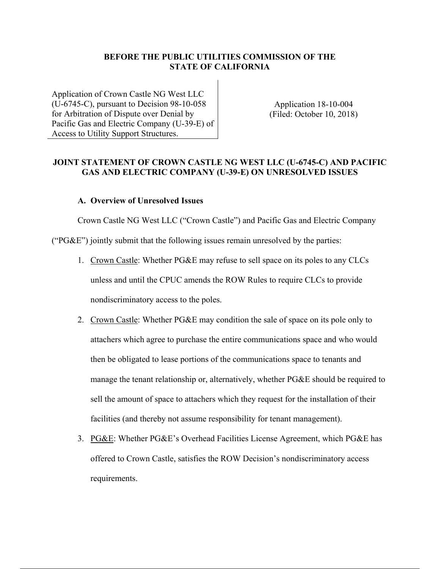### **BEFORE THE PUBLIC UTILITIES COMMISSION OF THE STATE OF CALIFORNIA**

Application of Crown Castle NG West LLC (U-6745-C), pursuant to Decision 98-10-058 for Arbitration of Dispute over Denial by Pacific Gas and Electric Company (U-39-E) of Access to Utility Support Structures.

Application 18-10-004 (Filed: October 10, 2018)

### **JOINT STATEMENT OF CROWN CASTLE NG WEST LLC (U-6745-C) AND PACIFIC GAS AND ELECTRIC COMPANY (U-39-E) ON UNRESOLVED ISSUES**

#### **A. Overview of Unresolved Issues**

Crown Castle NG West LLC ("Crown Castle") and Pacific Gas and Electric Company (" $PG\&E$ ") jointly submit that the following issues remain unresolved by the parties:

- 1. Crown Castle: Whether PG&E may refuse to sell space on its poles to any CLCs unless and until the CPUC amends the ROW Rules to require CLCs to provide nondiscriminatory access to the poles.
- 2. Crown Castle: Whether PG&E may condition the sale of space on its pole only to attachers which agree to purchase the entire communications space and who would then be obligated to lease portions of the communications space to tenants and manage the tenant relationship or, alternatively, whether PG&E should be required to sell the amount of space to attachers which they request for the installation of their facilities (and thereby not assume responsibility for tenant management).
- 3. PG&E: Whether PG&E's Overhead Facilities License Agreement, which PG&E has offered to Crown Castle, satisfies the ROW Decision's nondiscriminatory access requirements.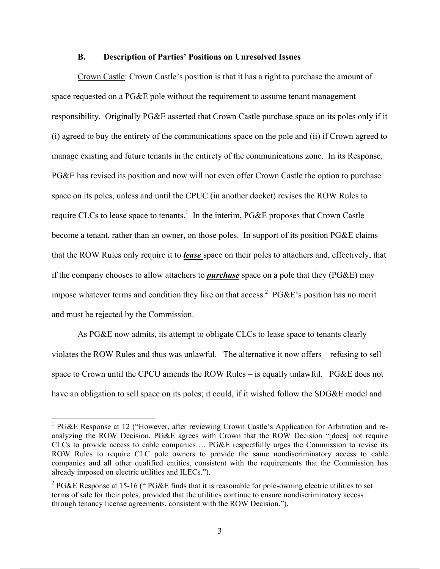#### **B. Description of Parties' Positions on Unresolved Issues**

Crown Castle: Crown Castle's position is that it has a right to purchase the amount of space requested on a PG&E pole without the requirement to assume tenant management responsibility. Originally PG&E asserted that Crown Castle purchase space on its poles only if it (i) agreed to buy the entirety of the communications space on the pole and (ii) if Crown agreed to manage existing and future tenants in the entirety of the communications zone. In its Response, PG&E has revised its position and now will not even offer Crown Castle the option to purchase space on its poles, unless and until the CPUC (in another docket) revises the ROW Rules to require CLCs to lease space to tenants.<sup>1</sup> In the interim, PG&E proposes that Crown Castle become a tenant, rather than an owner, on those poles. In support of its position PG&E claims that the ROW Rules only require it to *lease* space on their poles to attachers and, effectively, that if the company chooses to allow attachers to *purchase* space on a pole that they (PG&E) may impose whatever terms and condition they like on that access.<sup>2</sup> PG&E's position has no merit and must be rejected by the Commission.

As PG&E now admits, its attempt to obligate CLCs to lease space to tenants clearly violates the ROW Rules and thus was unlawful. The alternative it now offers – refusing to sell space to Crown until the CPCU amends the ROW Rules – is equally unlawful. PG&E does not have an obligation to sell space on its poles; it could, if it wished follow the SDG&E model and

 $\overline{a}$ 

<sup>&</sup>lt;sup>1</sup> PG&E Response at 12 ("However, after reviewing Crown Castle's Application for Arbitration and reanalyzing the ROW Decision, PG&E agrees with Crown that the ROW Decision "[does] not require CLCs to provide access to cable companies…. PG&E respectfully urges the Commission to revise its ROW Rules to require CLC pole owners to provide the same nondiscriminatory access to cable companies and all other qualified entities, consistent with the requirements that the Commission has already imposed on electric utilities and ILECs.").

<sup>&</sup>lt;sup>2</sup> PG&E Response at 15-16 ("PG&E finds that it is reasonable for pole-owning electric utilities to set terms of sale for their poles, provided that the utilities continue to ensure nondiscriminatory access through tenancy license agreements, consistent with the ROW Decision.").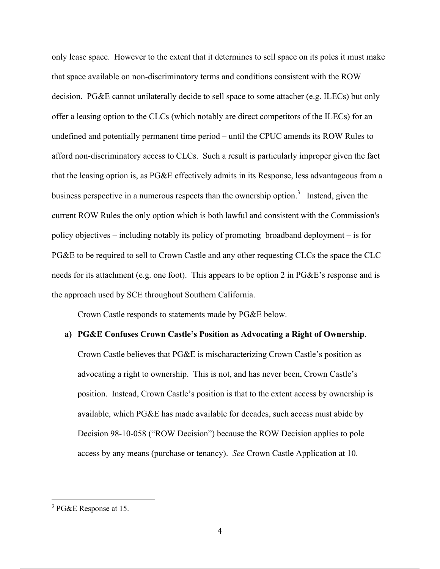only lease space. However to the extent that it determines to sell space on its poles it must make that space available on non-discriminatory terms and conditions consistent with the ROW decision. PG&E cannot unilaterally decide to sell space to some attacher (e.g. ILECs) but only offer a leasing option to the CLCs (which notably are direct competitors of the ILECs) for an undefined and potentially permanent time period – until the CPUC amends its ROW Rules to afford non-discriminatory access to CLCs. Such a result is particularly improper given the fact that the leasing option is, as PG&E effectively admits in its Response, less advantageous from a business perspective in a numerous respects than the ownership option.<sup>3</sup> Instead, given the current ROW Rules the only option which is both lawful and consistent with the Commission's policy objectives – including notably its policy of promoting broadband deployment – is for PG&E to be required to sell to Crown Castle and any other requesting CLCs the space the CLC needs for its attachment (e.g. one foot). This appears to be option 2 in PG&E's response and is the approach used by SCE throughout Southern California.

Crown Castle responds to statements made by PG&E below.

#### **a) PG&E Confuses Crown Castle's Position as Advocating a Right of Ownership**.

Crown Castle believes that PG&E is mischaracterizing Crown Castle's position as advocating a right to ownership. This is not, and has never been, Crown Castle's position. Instead, Crown Castle's position is that to the extent access by ownership is available, which PG&E has made available for decades, such access must abide by Decision 98-10-058 ("ROW Decision") because the ROW Decision applies to pole access by any means (purchase or tenancy). *See* Crown Castle Application at 10.

<u>.</u>

<sup>&</sup>lt;sup>3</sup> PG&E Response at 15.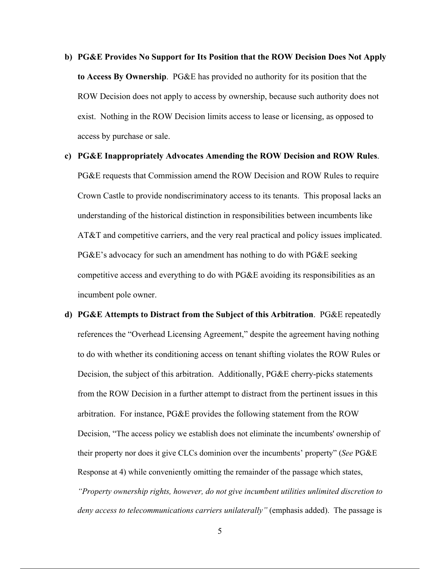**b) PG&E Provides No Support for Its Position that the ROW Decision Does Not Apply to Access By Ownership**. PG&E has provided no authority for its position that the ROW Decision does not apply to access by ownership, because such authority does not exist. Nothing in the ROW Decision limits access to lease or licensing, as opposed to access by purchase or sale.

**c) PG&E Inappropriately Advocates Amending the ROW Decision and ROW Rules**. PG&E requests that Commission amend the ROW Decision and ROW Rules to require Crown Castle to provide nondiscriminatory access to its tenants. This proposal lacks an understanding of the historical distinction in responsibilities between incumbents like AT&T and competitive carriers, and the very real practical and policy issues implicated.  $PG\&E$ 's advocacy for such an amendment has nothing to do with  $PG\&E$  seeking competitive access and everything to do with PG&E avoiding its responsibilities as an incumbent pole owner.

**d) PG&E Attempts to Distract from the Subject of this Arbitration**. PG&E repeatedly references the "Overhead Licensing Agreement," despite the agreement having nothing to do with whether its conditioning access on tenant shifting violates the ROW Rules or Decision, the subject of this arbitration. Additionally, PG&E cherry-picks statements from the ROW Decision in a further attempt to distract from the pertinent issues in this arbitration. For instance, PG&E provides the following statement from the ROW Decision, "The access policy we establish does not eliminate the incumbents' ownership of their property nor does it give CLCs dominion over the incumbents' property" (*See* PG&E Response at 4) while conveniently omitting the remainder of the passage which states, *"Property ownership rights, however, do not give incumbent utilities unlimited discretion to deny access to telecommunications carriers unilaterally"* (emphasis added). The passage is

5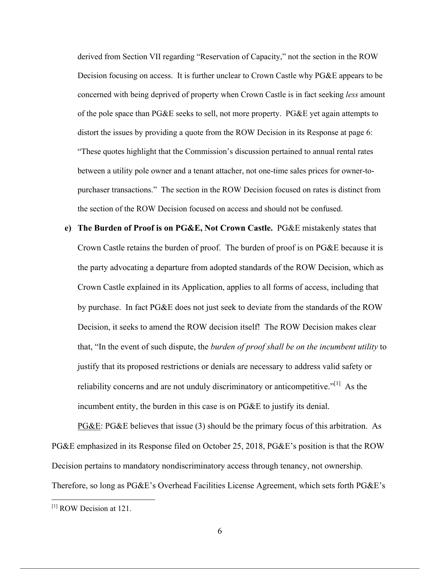derived from Section VII regarding "Reservation of Capacity," not the section in the ROW Decision focusing on access. It is further unclear to Crown Castle why PG&E appears to be concerned with being deprived of property when Crown Castle is in fact seeking *less* amount of the pole space than  $P G \& E$  seeks to sell, not more property.  $P G \& E$  yet again attempts to distort the issues by providing a quote from the ROW Decision in its Response at page 6: "These quotes highlight that the Commission's discussion pertained to annual rental rates between a utility pole owner and a tenant attacher, not one-time sales prices for owner-topurchaser transactions." The section in the ROW Decision focused on rates is distinct from the section of the ROW Decision focused on access and should not be confused.

**e) The Burden of Proof is on PG&E, Not Crown Castle.** PG&E mistakenly states that Crown Castle retains the burden of proof. The burden of proof is on PG&E because it is the party advocating a departure from adopted standards of the ROW Decision, which as Crown Castle explained in its Application, applies to all forms of access, including that by purchase. In fact PG&E does not just seek to deviate from the standards of the ROW Decision, it seeks to amend the ROW decision itself! The ROW Decision makes clear that, "In the event of such dispute, the *burden of proof shall be on the incumbent utility* to justify that its proposed restrictions or denials are necessary to address valid safety or reliability concerns and are not unduly discriminatory or anticompetitive."[1] As the incumbent entity, the burden in this case is on PG&E to justify its denial.

PG&E: PG&E believes that issue (3) should be the primary focus of this arbitration. As PG&E emphasized in its Response filed on October 25, 2018, PG&E's position is that the ROW Decision pertains to mandatory nondiscriminatory access through tenancy, not ownership. Therefore, so long as PG&E's Overhead Facilities License Agreement, which sets forth PG&E's

 $\overline{a}$ 

<sup>[1]</sup> ROW Decision at 121.